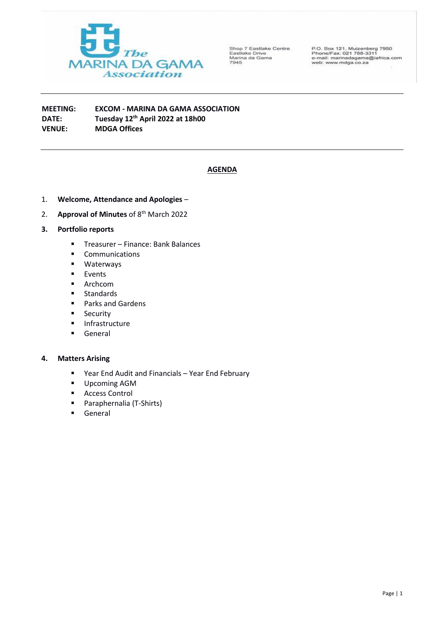

Shop 7 Eastlake Centre<br>Eastlake Drive<br>Marina da Gama<br>7945

P.O. Box 121, Muizenberg 7950<br>Phone/Fax: 021 788-3311<br>e-mail: marinadagama@iafrica.com<br>web: www.mdga.co.za

**MEETING: EXCOM - MARINA DA GAMA ASSOCIATION DATE: Tuesday 12th April 2022 at 18h00 VENUE: MDGA Offices**

# **AGENDA**

- 1. **Welcome, Attendance and Apologies** –
- 2. **Approval of Minutes** of 8<sup>th</sup> March 2022
- **3. Portfolio reports**
	- Treasurer Finance: Bank Balances
	- Communications
	- Waterways
	- Events
	- Archcom
	- Standards
	- Parks and Gardens
	- Security
	- Infrastructure
	- General

#### **4. Matters Arising**

- Year End Audit and Financials Year End February
- Upcoming AGM
- Access Control
- Paraphernalia (T-Shirts)
- General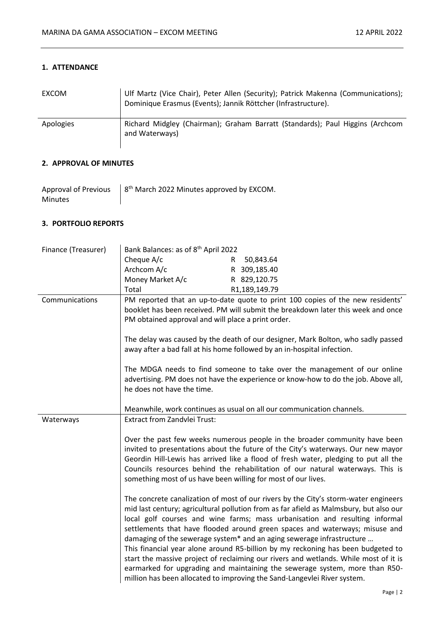## **1. ATTENDANCE**

| <b>EXCOM</b> | Ulf Martz (Vice Chair), Peter Allen (Security); Patrick Makenna (Communications);<br>Dominique Erasmus (Events); Jannik Röttcher (Infrastructure). |
|--------------|----------------------------------------------------------------------------------------------------------------------------------------------------|
| Apologies    | Richard Midgley (Chairman); Graham Barratt (Standards); Paul Higgins (Archcom<br>and Waterways)                                                    |

# **2. APPROVAL OF MINUTES**

| Approval of Previous | $\frac{1}{2}$ 8 <sup>th</sup> March 2022 Minutes approved by EXCOM. |
|----------------------|---------------------------------------------------------------------|
| <b>Minutes</b>       |                                                                     |

# **3. PORTFOLIO REPORTS**

| Finance (Treasurer) | Bank Balances: as of 8 <sup>th</sup> April 2022                                                                                                                                                                                                                                                                                                                                                          |                                                                                                                                                                                                                                                                                                                                                                                                                                                                                                                                                                                                                                                                                                                                                             |
|---------------------|----------------------------------------------------------------------------------------------------------------------------------------------------------------------------------------------------------------------------------------------------------------------------------------------------------------------------------------------------------------------------------------------------------|-------------------------------------------------------------------------------------------------------------------------------------------------------------------------------------------------------------------------------------------------------------------------------------------------------------------------------------------------------------------------------------------------------------------------------------------------------------------------------------------------------------------------------------------------------------------------------------------------------------------------------------------------------------------------------------------------------------------------------------------------------------|
|                     | Cheque A/c                                                                                                                                                                                                                                                                                                                                                                                               | 50,843.64<br>$\mathsf{R}$                                                                                                                                                                                                                                                                                                                                                                                                                                                                                                                                                                                                                                                                                                                                   |
|                     | Archcom A/c                                                                                                                                                                                                                                                                                                                                                                                              | R 309,185.40                                                                                                                                                                                                                                                                                                                                                                                                                                                                                                                                                                                                                                                                                                                                                |
|                     | Money Market A/c                                                                                                                                                                                                                                                                                                                                                                                         | R 829,120.75                                                                                                                                                                                                                                                                                                                                                                                                                                                                                                                                                                                                                                                                                                                                                |
|                     | Total                                                                                                                                                                                                                                                                                                                                                                                                    | R1,189,149.79                                                                                                                                                                                                                                                                                                                                                                                                                                                                                                                                                                                                                                                                                                                                               |
| Communications      | PM obtained approval and will place a print order.                                                                                                                                                                                                                                                                                                                                                       | PM reported that an up-to-date quote to print 100 copies of the new residents'<br>booklet has been received. PM will submit the breakdown later this week and once                                                                                                                                                                                                                                                                                                                                                                                                                                                                                                                                                                                          |
|                     |                                                                                                                                                                                                                                                                                                                                                                                                          | The delay was caused by the death of our designer, Mark Bolton, who sadly passed<br>away after a bad fall at his home followed by an in-hospital infection.                                                                                                                                                                                                                                                                                                                                                                                                                                                                                                                                                                                                 |
|                     | he does not have the time.                                                                                                                                                                                                                                                                                                                                                                               | The MDGA needs to find someone to take over the management of our online<br>advertising. PM does not have the experience or know-how to do the job. Above all,                                                                                                                                                                                                                                                                                                                                                                                                                                                                                                                                                                                              |
|                     |                                                                                                                                                                                                                                                                                                                                                                                                          | Meanwhile, work continues as usual on all our communication channels.                                                                                                                                                                                                                                                                                                                                                                                                                                                                                                                                                                                                                                                                                       |
| Waterways           | <b>Extract from Zandvlei Trust:</b>                                                                                                                                                                                                                                                                                                                                                                      |                                                                                                                                                                                                                                                                                                                                                                                                                                                                                                                                                                                                                                                                                                                                                             |
|                     | Over the past few weeks numerous people in the broader community have been<br>invited to presentations about the future of the City's waterways. Our new mayor<br>Geordin Hill-Lewis has arrived like a flood of fresh water, pledging to put all the<br>Councils resources behind the rehabilitation of our natural waterways. This is<br>something most of us have been willing for most of our lives. |                                                                                                                                                                                                                                                                                                                                                                                                                                                                                                                                                                                                                                                                                                                                                             |
|                     |                                                                                                                                                                                                                                                                                                                                                                                                          | The concrete canalization of most of our rivers by the City's storm-water engineers<br>mid last century; agricultural pollution from as far afield as Malmsbury, but also our<br>local golf courses and wine farms; mass urbanisation and resulting informal<br>settlements that have flooded around green spaces and waterways; misuse and<br>damaging of the sewerage system* and an aging sewerage infrastructure<br>This financial year alone around R5-billion by my reckoning has been budgeted to<br>start the massive project of reclaiming our rivers and wetlands. While most of it is<br>earmarked for upgrading and maintaining the sewerage system, more than R50-<br>million has been allocated to improving the Sand-Langevlei River system. |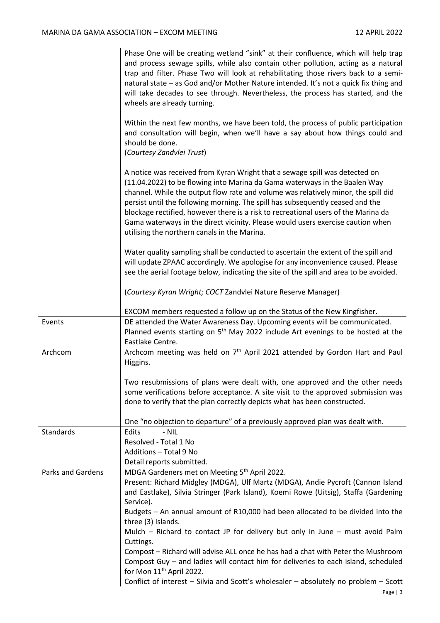|                          | Phase One will be creating wetland "sink" at their confluence, which will help trap<br>and process sewage spills, while also contain other pollution, acting as a natural<br>trap and filter. Phase Two will look at rehabilitating those rivers back to a semi-<br>natural state - as God and/or Mother Nature intended. It's not a quick fix thing and<br>will take decades to see through. Nevertheless, the process has started, and the<br>wheels are already turning.<br>Within the next few months, we have been told, the process of public participation |
|--------------------------|-------------------------------------------------------------------------------------------------------------------------------------------------------------------------------------------------------------------------------------------------------------------------------------------------------------------------------------------------------------------------------------------------------------------------------------------------------------------------------------------------------------------------------------------------------------------|
|                          | and consultation will begin, when we'll have a say about how things could and<br>should be done.<br>(Courtesy Zandvlei Trust)                                                                                                                                                                                                                                                                                                                                                                                                                                     |
|                          | A notice was received from Kyran Wright that a sewage spill was detected on<br>(11.04.2022) to be flowing into Marina da Gama waterways in the Baalen Way<br>channel. While the output flow rate and volume was relatively minor, the spill did<br>persist until the following morning. The spill has subsequently ceased and the<br>blockage rectified, however there is a risk to recreational users of the Marina da<br>Gama waterways in the direct vicinity. Please would users exercise caution when<br>utilising the northern canals in the Marina.        |
|                          | Water quality sampling shall be conducted to ascertain the extent of the spill and<br>will update ZPAAC accordingly. We apologise for any inconvenience caused. Please<br>see the aerial footage below, indicating the site of the spill and area to be avoided.                                                                                                                                                                                                                                                                                                  |
|                          | (Courtesy Kyran Wright; COCT Zandvlei Nature Reserve Manager)                                                                                                                                                                                                                                                                                                                                                                                                                                                                                                     |
|                          | EXCOM members requested a follow up on the Status of the New Kingfisher.                                                                                                                                                                                                                                                                                                                                                                                                                                                                                          |
| Events                   | DE attended the Water Awareness Day. Upcoming events will be communicated.<br>Planned events starting on 5 <sup>th</sup> May 2022 include Art evenings to be hosted at the<br>Eastlake Centre.                                                                                                                                                                                                                                                                                                                                                                    |
| Archcom                  | Archcom meeting was held on 7 <sup>th</sup> April 2021 attended by Gordon Hart and Paul<br>Higgins.                                                                                                                                                                                                                                                                                                                                                                                                                                                               |
|                          | Two resubmissions of plans were dealt with, one approved and the other needs<br>some verifications before acceptance. A site visit to the approved submission was<br>done to verify that the plan correctly depicts what has been constructed.                                                                                                                                                                                                                                                                                                                    |
|                          | One "no objection to departure" of a previously approved plan was dealt with.                                                                                                                                                                                                                                                                                                                                                                                                                                                                                     |
| <b>Standards</b>         | Edits<br>$-$ NIL                                                                                                                                                                                                                                                                                                                                                                                                                                                                                                                                                  |
|                          | Resolved - Total 1 No                                                                                                                                                                                                                                                                                                                                                                                                                                                                                                                                             |
|                          | Additions - Total 9 No                                                                                                                                                                                                                                                                                                                                                                                                                                                                                                                                            |
|                          | Detail reports submitted.                                                                                                                                                                                                                                                                                                                                                                                                                                                                                                                                         |
| <b>Parks and Gardens</b> | MDGA Gardeners met on Meeting 5 <sup>th</sup> April 2022.                                                                                                                                                                                                                                                                                                                                                                                                                                                                                                         |
|                          | Present: Richard Midgley (MDGA), Ulf Martz (MDGA), Andie Pycroft (Cannon Island<br>and Eastlake), Silvia Stringer (Park Island), Koemi Rowe (Uitsig), Staffa (Gardening                                                                                                                                                                                                                                                                                                                                                                                           |
|                          | Service).                                                                                                                                                                                                                                                                                                                                                                                                                                                                                                                                                         |
|                          | Budgets - An annual amount of R10,000 had been allocated to be divided into the<br>three (3) Islands.                                                                                                                                                                                                                                                                                                                                                                                                                                                             |
|                          | Mulch – Richard to contact JP for delivery but only in June – must avoid Palm<br>Cuttings.                                                                                                                                                                                                                                                                                                                                                                                                                                                                        |
|                          | Compost - Richard will advise ALL once he has had a chat with Peter the Mushroom<br>Compost Guy - and ladies will contact him for deliveries to each island, scheduled<br>for Mon 11 <sup>th</sup> April 2022.                                                                                                                                                                                                                                                                                                                                                    |
|                          | Conflict of interest - Silvia and Scott's wholesaler - absolutely no problem - Scott                                                                                                                                                                                                                                                                                                                                                                                                                                                                              |